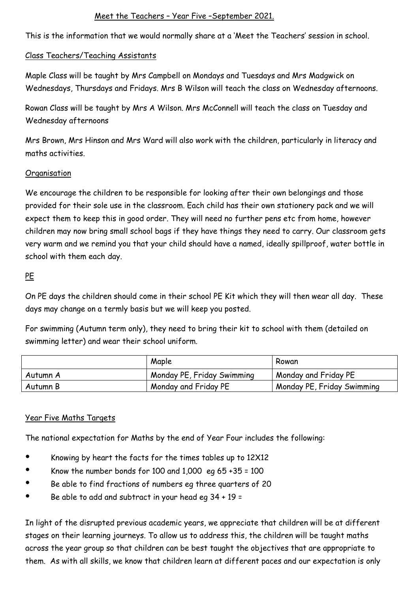# Meet the Teachers – Year Five –September 2021.

This is the information that we would normally share at a 'Meet the Teachers' session in school.

### Class Teachers/Teaching Assistants

Maple Class will be taught by Mrs Campbell on Mondays and Tuesdays and Mrs Madgwick on Wednesdays, Thursdays and Fridays. Mrs B Wilson will teach the class on Wednesday afternoons.

Rowan Class will be taught by Mrs A Wilson. Mrs McConnell will teach the class on Tuesday and Wednesday afternoons

Mrs Brown, Mrs Hinson and Mrs Ward will also work with the children, particularly in literacy and maths activities.

#### **Organisation**

We encourage the children to be responsible for looking after their own belongings and those provided for their sole use in the classroom. Each child has their own stationery pack and we will expect them to keep this in good order. They will need no further pens etc from home, however children may now bring small school bags if they have things they need to carry. Our classroom gets very warm and we remind you that your child should have a named, ideally spillproof, water bottle in school with them each day.

### PE

On PE days the children should come in their school PE Kit which they will then wear all day. These days may change on a termly basis but we will keep you posted.

For swimming (Autumn term only), they need to bring their kit to school with them (detailed on swimming letter) and wear their school uniform.

|          | Maple                      | Rowan                      |
|----------|----------------------------|----------------------------|
| Autumn A | Monday PE, Friday Swimming | Monday and Friday PE       |
| Autumn B | Monday and Friday PE       | Monday PE, Friday Swimming |

# Year Five Maths Targets

The national expectation for Maths by the end of Year Four includes the following:

- Knowing by heart the facts for the times tables up to 12X12
- Know the number bonds for 100 and 1,000 eg 65 +35 = 100
- Be able to find fractions of numbers eg three quarters of 20
- Be able to add and subtract in your head eg 34 + 19 =

In light of the disrupted previous academic years, we appreciate that children will be at different stages on their learning journeys. To allow us to address this, the children will be taught maths across the year group so that children can be best taught the objectives that are appropriate to them. As with all skills, we know that children learn at different paces and our expectation is only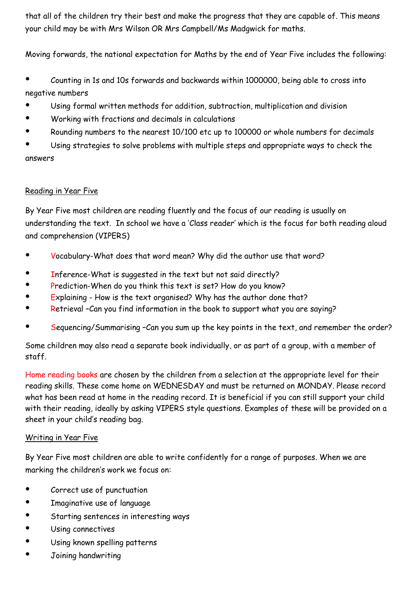that all of the children try their best and make the progress that they are capable of. This means your child may be with Mrs Wilson OR Mrs Campbell/Ms Madgwick for maths.

Moving forwards, the national expectation for Maths by the end of Year Five includes the following:

- Counting in 1s and 10s forwards and backwards within 1000000, being able to cross into negative numbers
- Using formal written methods for addition, subtraction, multiplication and division
- Working with fractions and decimals in calculations
- Rounding numbers to the nearest 10/100 etc up to 100000 or whole numbers for decimals

Using strategies to solve problems with multiple steps and appropriate ways to check the answers

### Reading in Year Five

By Year Five most children are reading fluently and the focus of our reading is usually on understanding the text. In school we have a 'Class reader' which is the focus for both reading aloud and comprehension (VIPERS)

- Vocabulary-What does that word mean? Why did the author use that word?
- Inference-What is suggested in the text but not said directly?
- Prediction-When do you think this text is set? How do you know?
- Explaining How is the text organised? Why has the author done that?
- Retrieval –Can you find information in the book to support what you are saying?
- Sequencing/Summarising -Can you sum up the key points in the text, and remember the order?

Some children may also read a separate book individually, or as part of a group, with a member of staff.

Home reading books are chosen by the children from a selection at the appropriate level for their reading skills. These come home on WEDNESDAY and must be returned on MONDAY. Please record what has been read at home in the reading record. It is beneficial if you can still support your child with their reading, ideally by asking VIPERS style questions. Examples of these will be provided on a sheet in your child's reading bag.

#### Writing in Year Five

By Year Five most children are able to write confidently for a range of purposes. When we are marking the children's work we focus on:

- Correct use of punctuation
- Imaginative use of language
- Starting sentences in interesting ways
- Using connectives
- Using known spelling patterns
- Joining handwriting